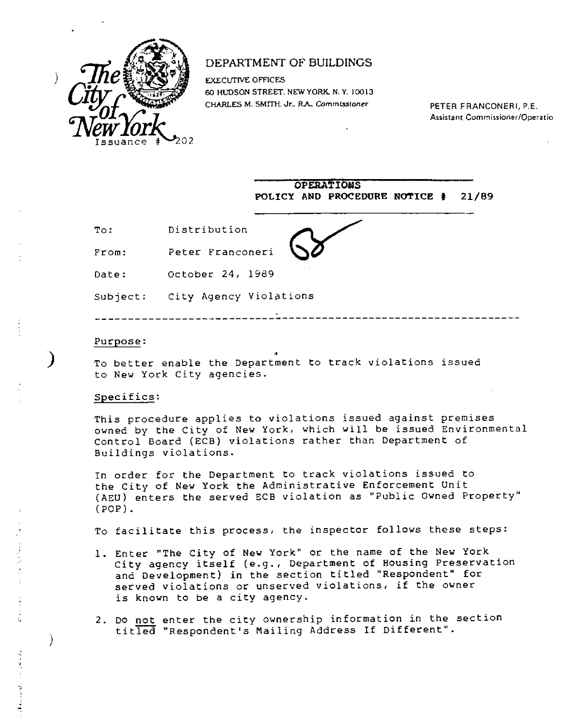

## DEPARTMENT OF BUILDINGS

EXECUTIVE OFFICES 60 HUDSON STREET. NEW YORK. N. Y. 10013 CHARLES M. SMITH. Jr., R.A., Commissioner PETER FRANCONERI, P.E.

Assistant Commissioner/Operatio

|          | <b>OPERATIONS</b><br>POLICY AND PROCEDURE NOTICE #<br>21/89 |
|----------|-------------------------------------------------------------|
| To:      | Distribution                                                |
| From:    | Peter Franconeri                                            |
| Date:    | October 24, 1989                                            |
| Subject: | City Agency Violations                                      |

## Purpose:

To better enable the Department to track violations issued to New York City agencies.

## Specifics:

)

This procedure applies to violations issued against premises owned by the City of New York, which will be issued Environmental Control Board (ECB) violations rather than Department of Buildings violations.

In order for the Department to track violations issued to the City of New York the Administrative Enforcement Unit (AEU) enters the served ECB violation as "Public Owned Property" (POP).

To facilitate this process, the inspector follows these steps:

- 1. Enter "The City of New York" or the name of the New York City agency itself (e.g., Department of Housing Preservation and Development) in the section titled "Respondent" for served violations or unserved violations, if the owner is known to be a city agency.
- 2. Do not enter the city ownership information in the section titled "Respondent's Mailing Address If Different".